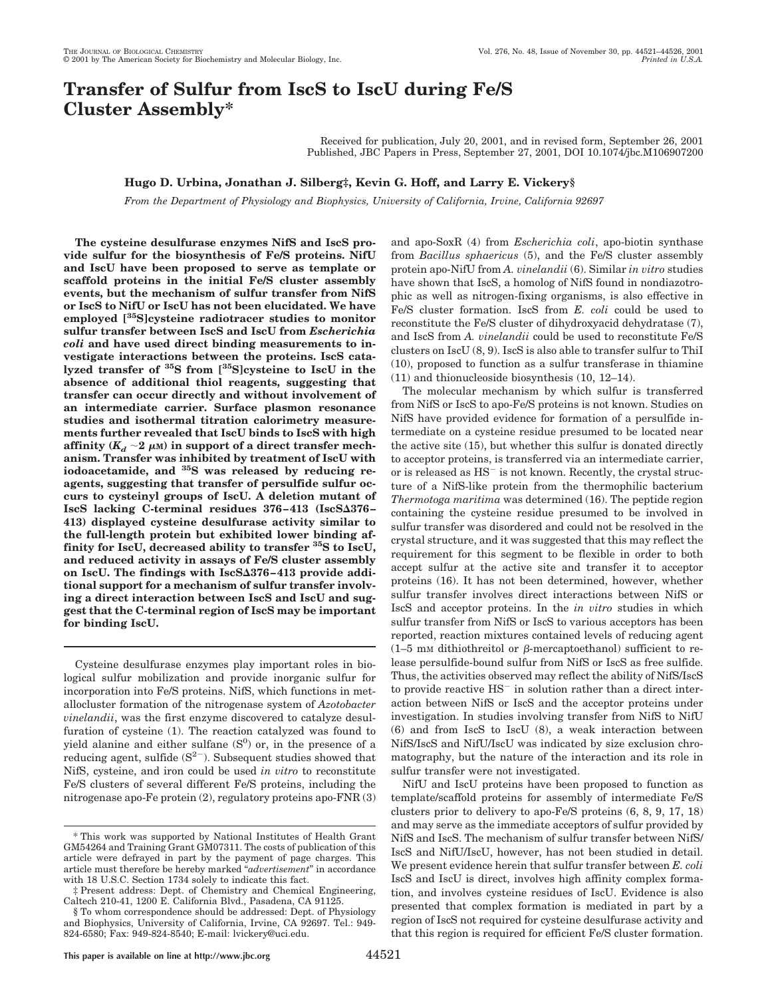# **Transfer of Sulfur from IscS to IscU during Fe/S Cluster Assembly\***

Received for publication, July 20, 2001, and in revised form, September 26, 2001 Published, JBC Papers in Press, September 27, 2001, DOI 10.1074/jbc.M106907200

# **Hugo D. Urbina, Jonathan J. Silberg‡, Kevin G. Hoff, and Larry E. Vickery§**

*From the Department of Physiology and Biophysics, University of California, Irvine, California 92697*

**The cysteine desulfurase enzymes NifS and IscS provide sulfur for the biosynthesis of Fe/S proteins. NifU and IscU have been proposed to serve as template or scaffold proteins in the initial Fe/S cluster assembly events, but the mechanism of sulfur transfer from NifS or IscS to NifU or IscU has not been elucidated. We have employed [35S]cysteine radiotracer studies to monitor sulfur transfer between IscS and IscU from** *Escherichia coli* **and have used direct binding measurements to investigate interactions between the proteins. IscS catalyzed transfer of 35S from [35S]cysteine to IscU in the absence of additional thiol reagents, suggesting that transfer can occur directly and without involvement of an intermediate carrier. Surface plasmon resonance studies and isothermal titration calorimetry measurements further revealed that IscU binds to IscS with high** affinity  $(K_d \sim 2 \mu)$  in support of a direct transfer mech**anism. Transfer was inhibited by treatment of IscU with iodoacetamide, and 35S was released by reducing reagents, suggesting that transfer of persulfide sulfur occurs to cysteinyl groups of IscU. A deletion mutant of** IscS lacking C-terminal residues 376-413 (IscS $\Delta 376$ -**413) displayed cysteine desulfurase activity similar to the full-length protein but exhibited lower binding affinity for IscU, decreased ability to transfer 35S to IscU, and reduced activity in assays of Fe/S cluster assembly** on IscU. The findings with IscS $\Delta 376 - 413$  provide addi**tional support for a mechanism of sulfur transfer involving a direct interaction between IscS and IscU and suggest that the C-terminal region of IscS may be important for binding IscU.**

Cysteine desulfurase enzymes play important roles in biological sulfur mobilization and provide inorganic sulfur for incorporation into Fe/S proteins. NifS, which functions in metallocluster formation of the nitrogenase system of *Azotobacter vinelandii*, was the first enzyme discovered to catalyze desulfuration of cysteine (1). The reaction catalyzed was found to yield alanine and either sulfane  $(S<sup>0</sup>)$  or, in the presence of a reducing agent, sulfide  $(S^{2-})$ . Subsequent studies showed that NifS, cysteine, and iron could be used *in vitro* to reconstitute Fe/S clusters of several different Fe/S proteins, including the nitrogenase apo-Fe protein (2), regulatory proteins apo-FNR (3)

and apo-SoxR (4) from *Escherichia coli*, apo-biotin synthase from *Bacillus sphaericus* (5), and the Fe/S cluster assembly protein apo-NifU from *A. vinelandii* (6). Similar *in vitro* studies have shown that IscS, a homolog of NifS found in nondiazotrophic as well as nitrogen-fixing organisms, is also effective in Fe/S cluster formation. IscS from *E. coli* could be used to reconstitute the Fe/S cluster of dihydroxyacid dehydratase (7), and IscS from *A. vinelandii* could be used to reconstitute Fe/S clusters on IscU (8, 9). IscS is also able to transfer sulfur to ThiI (10), proposed to function as a sulfur transferase in thiamine (11) and thionucleoside biosynthesis (10, 12–14).

The molecular mechanism by which sulfur is transferred from NifS or IscS to apo-Fe/S proteins is not known. Studies on NifS have provided evidence for formation of a persulfide intermediate on a cysteine residue presumed to be located near the active site (15), but whether this sulfur is donated directly to acceptor proteins, is transferred via an intermediate carrier, or is released as  $HS^-$  is not known. Recently, the crystal structure of a NifS-like protein from the thermophilic bacterium *Thermotoga maritima* was determined (16). The peptide region containing the cysteine residue presumed to be involved in sulfur transfer was disordered and could not be resolved in the crystal structure, and it was suggested that this may reflect the requirement for this segment to be flexible in order to both accept sulfur at the active site and transfer it to acceptor proteins (16). It has not been determined, however, whether sulfur transfer involves direct interactions between NifS or IscS and acceptor proteins. In the *in vitro* studies in which sulfur transfer from NifS or IscS to various acceptors has been reported, reaction mixtures contained levels of reducing agent  $(1-5 \text{ mm}$  dithiothreitol or  $\beta$ -mercaptoethanol) sufficient to release persulfide-bound sulfur from NifS or IscS as free sulfide. Thus, the activities observed may reflect the ability of NifS/IscS to provide reactive  $HS^-$  in solution rather than a direct interaction between NifS or IscS and the acceptor proteins under investigation. In studies involving transfer from NifS to NifU (6) and from IscS to IscU (8), a weak interaction between NifS/IscS and NifU/IscU was indicated by size exclusion chromatography, but the nature of the interaction and its role in sulfur transfer were not investigated.

NifU and IscU proteins have been proposed to function as template/scaffold proteins for assembly of intermediate Fe/S clusters prior to delivery to apo-Fe/S proteins (6, 8, 9, 17, 18) and may serve as the immediate acceptors of sulfur provided by NifS and IscS. The mechanism of sulfur transfer between NifS/ IscS and NifU/IscU, however, has not been studied in detail. We present evidence herein that sulfur transfer between *E. coli* IscS and IscU is direct, involves high affinity complex formation, and involves cysteine residues of IscU. Evidence is also presented that complex formation is mediated in part by a region of IscS not required for cysteine desulfurase activity and that this region is required for efficient Fe/S cluster formation.

<sup>\*</sup> This work was supported by National Institutes of Health Grant GM54264 and Training Grant GM07311. The costs of publication of this article were defrayed in part by the payment of page charges. This article must therefore be hereby marked "*advertisement*" in accordance with 18 U.S.C. Section 1734 solely to indicate this fact.

<sup>‡</sup> Present address: Dept. of Chemistry and Chemical Engineering, Caltech 210-41, 1200 E. California Blvd., Pasadena, CA 91125.

<sup>§</sup> To whom correspondence should be addressed: Dept. of Physiology and Biophysics, University of California, Irvine, CA 92697. Tel.: 949- 824-6580; Fax: 949-824-8540; E-mail: lvickery@uci.edu.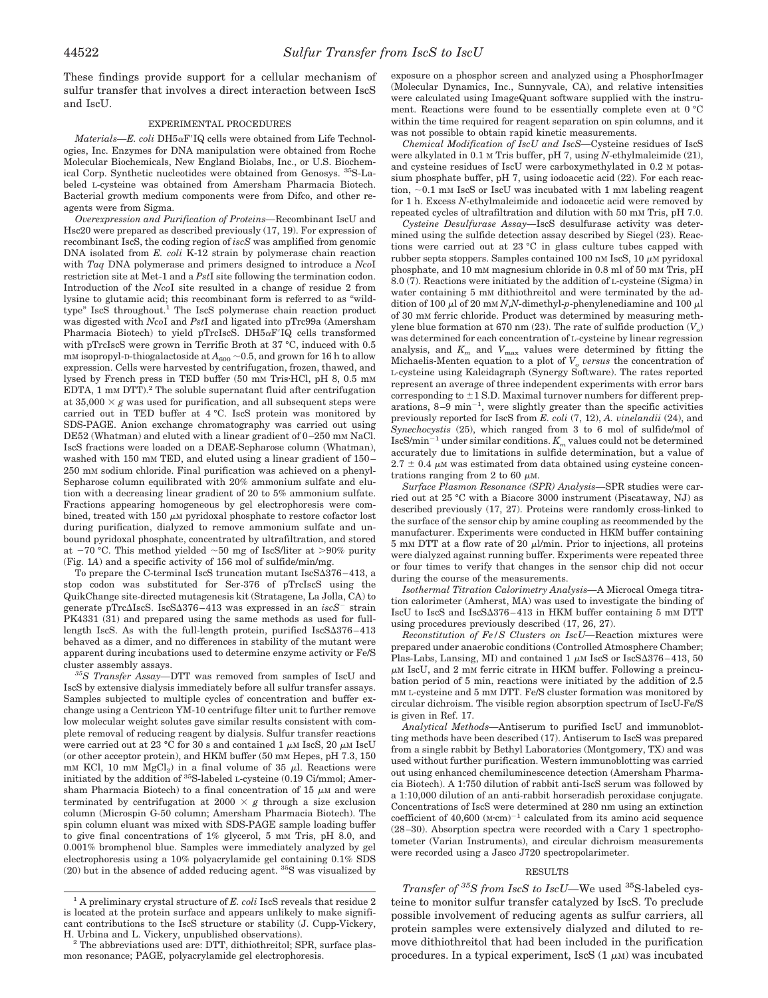These findings provide support for a cellular mechanism of sulfur transfer that involves a direct interaction between IscS and IscU.

## EXPERIMENTAL PROCEDURES

*Materials—E. coli* DH5αF'IQ cells were obtained from Life Technologies, Inc. Enzymes for DNA manipulation were obtained from Roche Molecular Biochemicals, New England Biolabs, Inc., or U.S. Biochemical Corp. Synthetic nucleotides were obtained from Genosys. 35S-Labeled L-cysteine was obtained from Amersham Pharmacia Biotech. Bacterial growth medium components were from Difco, and other reagents were from Sigma.

*Overexpression and Purification of Proteins—*Recombinant IscU and Hsc20 were prepared as described previously (17, 19). For expression of recombinant IscS, the coding region of *iscS* was amplified from genomic DNA isolated from *E. coli* K-12 strain by polymerase chain reaction with *Taq* DNA polymerase and primers designed to introduce a *Nco*I restriction site at Met-1 and a *Pst*I site following the termination codon. Introduction of the *Nco*I site resulted in a change of residue 2 from lysine to glutamic acid; this recombinant form is referred to as "wildtype" Isc $\overline{S}$  throughout.<sup>1</sup> The IscS polymerase chain reaction product was digested with *Nco*I and *Pst*I and ligated into pTrc99a (Amersham Pharmacia Biotech) to yield pTrcIscS. DH $5\alpha$ F'IQ cells transformed with pTrcIscS were grown in Terrific Broth at 37 °C, induced with 0.5 mM isopropyl-D-thiogalactoside at  $A_{600}$  ~0.5, and grown for 16 h to allow expression. Cells were harvested by centrifugation, frozen, thawed, and lysed by French press in TED buffer (50 mM Tris·HCl, pH 8, 0.5 mM EDTA, 1  $\,$  mM DTT). $^2$  The soluble supernatant fluid after centrifugation at  $35,000 \times g$  was used for purification, and all subsequent steps were carried out in TED buffer at 4 °C. IscS protein was monitored by SDS-PAGE. Anion exchange chromatography was carried out using DE52 (Whatman) and eluted with a linear gradient of  $0-250$  mm NaCl. IscS fractions were loaded on a DEAE-Sepharose column (Whatman), washed with 150 mM TED, and eluted using a linear gradient of 150– 250 mM sodium chloride. Final purification was achieved on a phenyl-Sepharose column equilibrated with 20% ammonium sulfate and elution with a decreasing linear gradient of 20 to 5% ammonium sulfate. Fractions appearing homogeneous by gel electrophoresis were combined, treated with 150  $\mu$ M pyridoxal phosphate to restore cofactor lost during purification, dialyzed to remove ammonium sulfate and unbound pyridoxal phosphate, concentrated by ultrafiltration, and stored at  $-70$  °C. This method yielded  $\sim$ 50 mg of IscS/liter at >90% purity (Fig. 1*A*) and a specific activity of 156 mol of sulfide/min/mg.

To prepare the C-terminal IscS truncation mutant IscS $\Delta 376-413$ , a stop codon was substituted for Ser-376 of pTrcIscS using the QuikChange site-directed mutagenesis kit (Stratagene, La Jolla, CA) to generate pTrc $\triangle$ IscS. IscS $\triangle$ 376-413 was expressed in an *iscS*<sup>-</sup> strain PK4331 (31) and prepared using the same methods as used for fulllength IscS. As with the full-length protein, purified  $IscS\Delta376-413$ behaved as a dimer, and no differences in stability of the mutant were apparent during incubations used to determine enzyme activity or Fe/S cluster assembly assays.

*35S Transfer Assay—*DTT was removed from samples of IscU and IscS by extensive dialysis immediately before all sulfur transfer assays. Samples subjected to multiple cycles of concentration and buffer exchange using a Centricon YM-10 centrifuge filter unit to further remove low molecular weight solutes gave similar results consistent with complete removal of reducing reagent by dialysis. Sulfur transfer reactions were carried out at 23 °C for 30 s and contained 1  $\mu$ M IscS, 20  $\mu$ M IscU (or other acceptor protein), and HKM buffer (50 mM Hepes, pH 7.3, 150 mM KCl, 10 mM  $MgCl<sub>2</sub>$ ) in a final volume of 35  $\mu$ l. Reactions were initiated by the addition of 35S-labeled L-cysteine (0.19 Ci/mmol; Amersham Pharmacia Biotech) to a final concentration of 15  $\mu$ M and were terminated by centrifugation at 2000  $\times$  g through a size exclusion column (Microspin G-50 column; Amersham Pharmacia Biotech). The spin column eluant was mixed with SDS-PAGE sample loading buffer to give final concentrations of 1% glycerol, 5 mM Tris, pH 8.0, and 0.001% bromphenol blue. Samples were immediately analyzed by gel electrophoresis using a 10% polyacrylamide gel containing 0.1% SDS  $(20)$  but in the absence of added reducing agent. <sup>35</sup>S was visualized by

exposure on a phosphor screen and analyzed using a PhosphorImager (Molecular Dynamics, Inc., Sunnyvale, CA), and relative intensities were calculated using ImageQuant software supplied with the instrument. Reactions were found to be essentially complete even at 0 °C within the time required for reagent separation on spin columns, and it was not possible to obtain rapid kinetic measurements.

*Chemical Modification of IscU and IscS—*Cysteine residues of IscS were alkylated in 0.1 M Tris buffer, pH 7, using *N*-ethylmaleimide (21), and cysteine residues of IscU were carboxymethylated in 0.2 M potassium phosphate buffer, pH 7, using iodoacetic acid (22). For each reaction,  $\sim$  0.1 mM IscS or IscU was incubated with 1 mM labeling reagent for 1 h. Excess *N*-ethylmaleimide and iodoacetic acid were removed by repeated cycles of ultrafiltration and dilution with 50 mM Tris, pH 7.0.

*Cysteine Desulfurase Assay—*IscS desulfurase activity was determined using the sulfide detection assay described by Siegel (23). Reactions were carried out at 23 °C in glass culture tubes capped with rubber septa stoppers. Samples contained 100 nm IscS, 10  $\mu$ M pyridoxal phosphate, and 10 mM magnesium chloride in 0.8 ml of 50 mM Tris, pH 8.0 (7). Reactions were initiated by the addition of L-cysteine (Sigma) in water containing 5 mM dithiothreitol and were terminated by the addition of 100  $\mu$ l of 20 mm *N*,*N*-dimethyl-*p*-phenylenediamine and 100  $\mu$ l of 30 mM ferric chloride. Product was determined by measuring methylene blue formation at 670 nm (23). The rate of sulfide production  $(V_o)$ was determined for each concentration of L-cysteine by linear regression analysis, and  $K_m$  and  $V_{\text{max}}$  values were determined by fitting the Michaelis-Menten equation to a plot of  $V<sub>o</sub>$  *versus* the concentration of L-cysteine using Kaleidagraph (Synergy Software). The rates reported represent an average of three independent experiments with error bars corresponding to  $\pm$ 1 S.D. Maximal turnover numbers for different preparations,  $8-9$  min<sup>-1</sup>, were slightly greater than the specific activities previously reported for IscS from *E. coli* (7, 12), *A. vinelandii* (24), and *Synechocystis* (25), which ranged from 3 to 6 mol of sulfide/mol of  ${\rm IscS/min^{-1}}$  under similar conditions.  $K_m$  values could not be determined accurately due to limitations in sulfide determination, but a value of  $2.7 \pm 0.4$   $\mu$ M was estimated from data obtained using cysteine concentrations ranging from 2 to 60  $\mu$ M.

*Surface Plasmon Resonance (SPR) Analysis—*SPR studies were carried out at 25 °C with a Biacore 3000 instrument (Piscataway, NJ) as described previously (17, 27). Proteins were randomly cross-linked to the surface of the sensor chip by amine coupling as recommended by the manufacturer. Experiments were conducted in HKM buffer containing  $5$  mM DTT at a flow rate of 20  $\mu$ l/min. Prior to injections, all proteins were dialyzed against running buffer. Experiments were repeated three or four times to verify that changes in the sensor chip did not occur during the course of the measurements.

*Isothermal Titration Calorimetry Analysis—*A Microcal Omega titration calorimeter (Amherst, MA) was used to investigate the binding of IscU to IscS and IscS $\Delta 376 - 413$  in HKM buffer containing 5 mM DTT using procedures previously described (17, 26, 27).

*Reconstitution of Fe/S Clusters on IscU—*Reaction mixtures were prepared under anaerobic conditions (Controlled Atmosphere Chamber; Plas-Labs, Lansing, MI) and contained  $1 \mu M$  IscS or IscS $\Delta 376 - 413$ , 50  $\mu$ M IscU, and 2 mM ferric citrate in HKM buffer. Following a preincubation period of 5 min, reactions were initiated by the addition of 2.5 mM L-cysteine and 5 mM DTT. Fe/S cluster formation was monitored by circular dichroism. The visible region absorption spectrum of IscU-Fe/S is given in Ref. 17.

*Analytical Methods—*Antiserum to purified IscU and immunoblotting methods have been described (17). Antiserum to IscS was prepared from a single rabbit by Bethyl Laboratories (Montgomery, TX) and was used without further purification. Western immunoblotting was carried out using enhanced chemiluminescence detection (Amersham Pharmacia Biotech). A 1:750 dilution of rabbit anti-IscS serum was followed by a 1:10,000 dilution of an anti-rabbit horseradish peroxidase conjugate. Concentrations of IscS were determined at 280 nm using an extinction coefficient of  $40,600$  (M·cm)<sup>-1</sup> calculated from its amino acid sequence (28–30). Absorption spectra were recorded with a Cary 1 spectrophotometer (Varian Instruments), and circular dichroism measurements were recorded using a Jasco J720 spectropolarimeter.

#### RESULTS

*Transfer of* <sup>35</sup>S from IscS to IscU—We used <sup>35</sup>S-labeled cysteine to monitor sulfur transfer catalyzed by IscS. To preclude possible involvement of reducing agents as sulfur carriers, all protein samples were extensively dialyzed and diluted to remove dithiothreitol that had been included in the purification procedures. In a typical experiment,  $IscS(1 \mu M)$  was incubated

<sup>&</sup>lt;sup>1</sup> A preliminary crystal structure of *E. coli* IscS reveals that residue 2 is located at the protein surface and appears unlikely to make significant contributions to the IscS structure or stability (J. Cupp-Vickery, H. Urbina and L. Vickery, unpublished observations).<br><sup>2</sup> The abbreviations used are: DTT, dithiothreitol; SPR, surface plas-

mon resonance; PAGE, polyacrylamide gel electrophoresis.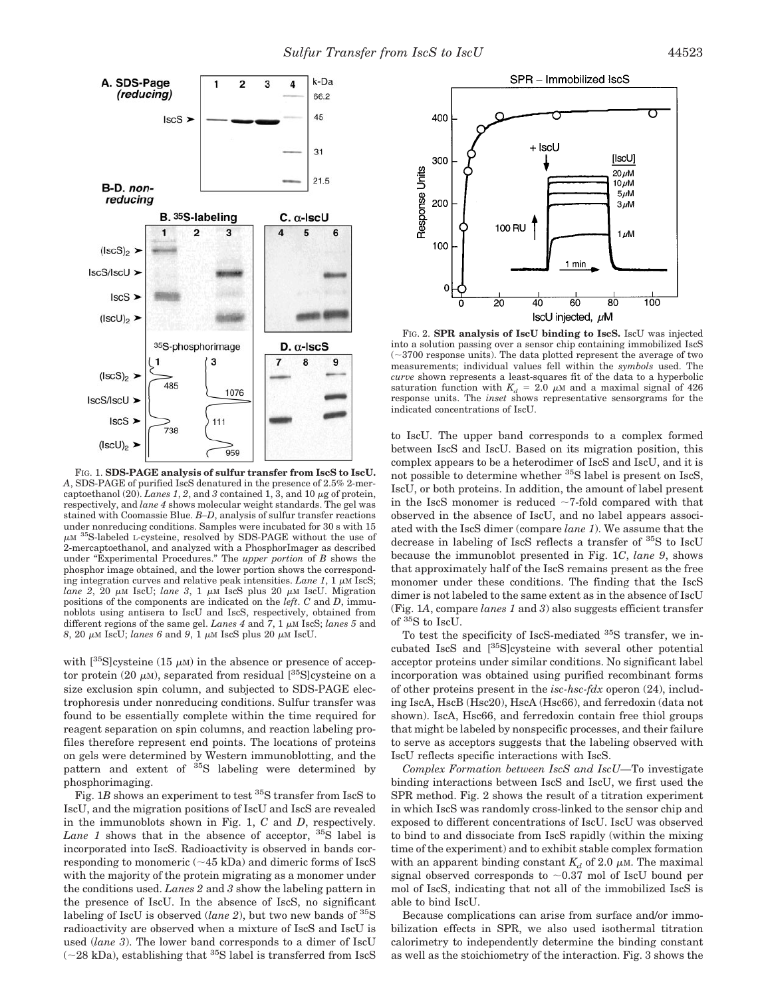

FIG. 1. **SDS-PAGE analysis of sulfur transfer from IscS to IscU.** *A*, SDS-PAGE of purified IscS denatured in the presence of 2.5% 2-mercaptoethanol (20). *Lanes 1*, 2, and 3 contained 1, 3, and 10  $\mu$ g of protein, respectively, and *lane 4* shows molecular weight standards. The gel was stained with Coomassie Blue. *B–D*, analysis of sulfur transfer reactions under nonreducing conditions. Samples were incubated for 30 s with 15  $\mu$ M <sup>35</sup>S-labeled L-cysteine, resolved by SDS-PAGE without the use of 2-mercaptoethanol, and analyzed with a PhosphorImager as described under "Experimental Procedures." The *upper portion* of *B* shows the phosphor image obtained, and the lower portion shows the corresponding integration curves and relative peak intensities. *Lane 1*, 1  $\mu$ M IscS; *lane 2*, 20  $\mu$ M IscU; *lane 3*, 1  $\mu$ M IscS plus 20  $\mu$ M IscU. Migration positions of the components are indicated on the *left*. *C* and *D*, immunoblots using antisera to IscU and IscS, respectively, obtained from different regions of the same gel. *Lanes 4* and 7, 1  $\mu$ M IscS; *lanes 5* and  $8$ , 20  $\mu$ M IscU; *lanes 6* and 9, 1  $\mu$ M IscS plus 20  $\mu$ M IscU.

with  $\int^{35}$ Slcysteine (15  $\mu$ M) in the absence or presence of acceptor protein (20  $\mu$ M), separated from residual  $\int^{35}$ S]cysteine on a size exclusion spin column, and subjected to SDS-PAGE electrophoresis under nonreducing conditions. Sulfur transfer was found to be essentially complete within the time required for reagent separation on spin columns, and reaction labeling profiles therefore represent end points. The locations of proteins on gels were determined by Western immunoblotting, and the pattern and extent of 35S labeling were determined by phosphorimaging.

Fig. 1*B* shows an experiment to test <sup>35</sup>S transfer from IscS to IscU, and the migration positions of IscU and IscS are revealed in the immunoblots shown in Fig. 1, *C* and *D*, respectively. *Lane 1* shows that in the absence of acceptor, <sup>35</sup>S label is incorporated into IscS. Radioactivity is observed in bands corresponding to monomeric  $(\sim 45 \text{ kDa})$  and dimeric forms of IscS with the majority of the protein migrating as a monomer under the conditions used. *Lanes 2* and *3* show the labeling pattern in the presence of IscU. In the absence of IscS, no significant labeling of IscU is observed (*lane 2*), but two new bands of <sup>35</sup>S radioactivity are observed when a mixture of IscS and IscU is used (*lane 3*). The lower band corresponds to a dimer of IscU  $(\sim 28 \text{ kDa})$ , establishing that <sup>35</sup>S label is transferred from IscS



FIG. 2. **SPR analysis of IscU binding to IscS.** IscU was injected into a solution passing over a sensor chip containing immobilized IscS  $(\sim\!3700$  response units). The data plotted represent the average of two measurements; individual values fell within the *symbols* used. The *curve* shown represents a least-squares fit of the data to a hyperbolic saturation function with  $K_d = 2.0 \mu M$  and a maximal signal of 426 response units. The *inset* shows representative sensorgrams for the indicated concentrations of IscU.

to IscU. The upper band corresponds to a complex formed between IscS and IscU. Based on its migration position, this complex appears to be a heterodimer of IscS and IscU, and it is not possible to determine whether <sup>35</sup>S label is present on IscS, IscU, or both proteins. In addition, the amount of label present in the IscS monomer is reduced  $\sim$ 7-fold compared with that observed in the absence of IscU, and no label appears associated with the IscS dimer (compare *lane 1*). We assume that the decrease in labeling of IscS reflects a transfer of 35S to IscU because the immunoblot presented in Fig. 1*C*, *lane 9*, shows that approximately half of the IscS remains present as the free monomer under these conditions. The finding that the IscS dimer is not labeled to the same extent as in the absence of IscU (Fig. 1*A*, compare *lanes 1* and *3*) also suggests efficient transfer of <sup>35</sup>S to IscU.

To test the specificity of IscS-mediated 35S transfer, we incubated IscS and [35S]cysteine with several other potential acceptor proteins under similar conditions. No significant label incorporation was obtained using purified recombinant forms of other proteins present in the *isc-hsc-fdx* operon (24), including IscA, HscB (Hsc20), HscA (Hsc66), and ferredoxin (data not shown). IscA, Hsc66, and ferredoxin contain free thiol groups that might be labeled by nonspecific processes, and their failure to serve as acceptors suggests that the labeling observed with IscU reflects specific interactions with IscS.

*Complex Formation between IscS and IscU—*To investigate binding interactions between IscS and IscU, we first used the SPR method. Fig. 2 shows the result of a titration experiment in which IscS was randomly cross-linked to the sensor chip and exposed to different concentrations of IscU. IscU was observed to bind to and dissociate from IscS rapidly (within the mixing time of the experiment) and to exhibit stable complex formation with an apparent binding constant  $K_d$  of 2.0  $\mu$ M. The maximal signal observed corresponds to  $\sim 0.37$  mol of IscU bound per mol of IscS, indicating that not all of the immobilized IscS is able to bind IscU.

Because complications can arise from surface and/or immobilization effects in SPR, we also used isothermal titration calorimetry to independently determine the binding constant as well as the stoichiometry of the interaction. Fig. 3 shows the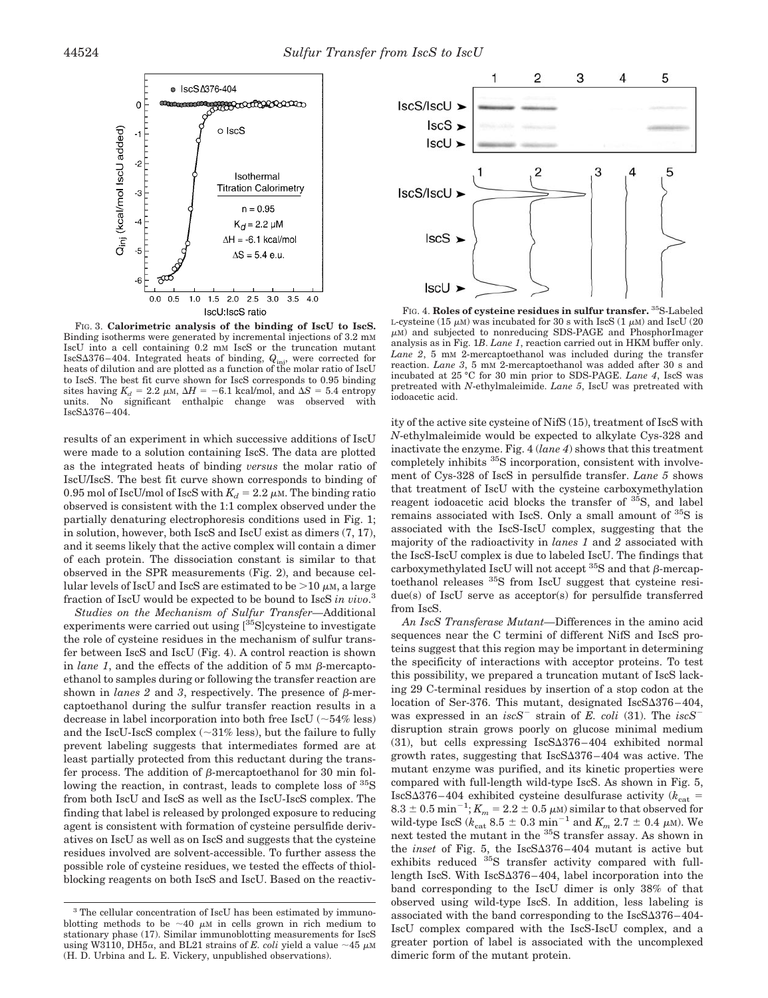

FIG. 3. **Calorimetric analysis of the binding of IscU to IscS.** Binding isotherms were generated by incremental injections of 3.2 mM IscU into a cell containing 0.2 mM IscS or the truncation mutant IscS $\Delta$ 376–404. Integrated heats of binding,  $Q_{\text{ini}}$ , were corrected for heats of dilution and are plotted as a function of the molar ratio of IscU to IscS. The best fit curve shown for IscS corresponds to 0.95 binding sites having  $K_d = 2.2 \mu M$ ,  $\Delta H = -6.1 \text{ kcal/mol}$ , and  $\Delta S = 5.4 \text{ entropy}$ units. No significant enthalpic change was observed with IscS376–404.

results of an experiment in which successive additions of IscU were made to a solution containing IscS. The data are plotted as the integrated heats of binding *versus* the molar ratio of IscU/IscS. The best fit curve shown corresponds to binding of 0.95 mol of IscU/mol of IscS with  $K_d = 2.2 \mu$ M. The binding ratio observed is consistent with the 1:1 complex observed under the partially denaturing electrophoresis conditions used in Fig. 1; in solution, however, both IscS and IscU exist as dimers (7, 17), and it seems likely that the active complex will contain a dimer of each protein. The dissociation constant is similar to that observed in the SPR measurements (Fig. 2), and because cellular levels of IscU and IscS are estimated to be  $>10 \mu$ M, a large fraction of IscU would be expected to be bound to IscS *in vivo*. 3

*Studies on the Mechanism of Sulfur Transfer—*Additional experiments were carried out using  $[35S]$ cysteine to investigate the role of cysteine residues in the mechanism of sulfur transfer between IscS and IscU (Fig. 4). A control reaction is shown in *lane 1*, and the effects of the addition of 5 mm  $\beta$ -mercaptoethanol to samples during or following the transfer reaction are shown in *lanes* 2 and 3, respectively. The presence of  $\beta$ -mercaptoethanol during the sulfur transfer reaction results in a decrease in label incorporation into both free IscU  $(-54\% \text{ less})$ and the IscU-IscS complex  $(\sim 31\%$  less), but the failure to fully prevent labeling suggests that intermediates formed are at least partially protected from this reductant during the transfer process. The addition of  $\beta$ -mercaptoethanol for 30 min following the reaction, in contrast, leads to complete loss of <sup>35</sup>S from both IscU and IscS as well as the IscU-IscS complex. The finding that label is released by prolonged exposure to reducing agent is consistent with formation of cysteine persulfide derivatives on IscU as well as on IscS and suggests that the cysteine residues involved are solvent-accessible. To further assess the possible role of cysteine residues, we tested the effects of thiolblocking reagents on both IscS and IscU. Based on the reactiv-



FIG. 4. **Roles of cysteine residues in sulfur transfer.** 35S-Labeled L-cysteine (15  $\mu$ M) was incubated for 30 s with IscS (1  $\mu$ M) and IscU (20  $\mu$ M) and subjected to nonreducing SDS-PAGE and PhosphorImager analysis as in Fig. 1*B*. *Lane 1*, reaction carried out in HKM buffer only. *Lane 2*,5mM 2-mercaptoethanol was included during the transfer reaction. *Lane 3*,5mM 2-mercaptoethanol was added after 30 s and incubated at 25 °C for 30 min prior to SDS-PAGE. *Lane 4*, IscS was pretreated with *N*-ethylmaleimide. *Lane 5*, IscU was pretreated with iodoacetic acid.

ity of the active site cysteine of NifS (15), treatment of IscS with *N*-ethylmaleimide would be expected to alkylate Cys-328 and inactivate the enzyme. Fig. 4 (*lane 4*) shows that this treatment completely inhibits 35S incorporation, consistent with involvement of Cys-328 of IscS in persulfide transfer. *Lane 5* shows that treatment of IscU with the cysteine carboxymethylation reagent iodoacetic acid blocks the transfer of <sup>35</sup>S, and label remains associated with IscS. Only a small amount of <sup>35</sup>S is associated with the IscS-IscU complex, suggesting that the majority of the radioactivity in *lanes 1* and *2* associated with the IscS-IscU complex is due to labeled IscU. The findings that carboxymethylated IscU will not accept  ${}^{35}S$  and that  $\beta$ -mercaptoethanol releases 35S from IscU suggest that cysteine residue(s) of IscU serve as acceptor(s) for persulfide transferred from IscS.

*An IscS Transferase Mutant—*Differences in the amino acid sequences near the C termini of different NifS and IscS proteins suggest that this region may be important in determining the specificity of interactions with acceptor proteins. To test this possibility, we prepared a truncation mutant of IscS lacking 29 C-terminal residues by insertion of a stop codon at the location of Ser-376. This mutant, designated  $IscS\Delta376-404$ , was expressed in an *iscS*<sup>-</sup> strain of *E. coli* (31). The *iscS*<sup>-</sup> disruption strain grows poorly on glucose minimal medium  $(31)$ , but cells expressing IscS $\Delta 376 - 404$  exhibited normal growth rates, suggesting that  $IscS\Delta376-404$  was active. The mutant enzyme was purified, and its kinetic properties were compared with full-length wild-type IscS. As shown in Fig. 5, IscS $\Delta$ 376–404 exhibited cysteine desulfurase activity ( $k_{\text{cat}}$ )  $8.3 \pm 0.5$  min<sup>-1</sup>;  $K_m = 2.2 \pm 0.5$   $\mu$ M) similar to that observed for wild-type IscS ( $k_{\text{cat}}$  8.5  $\pm$  0.3 min<sup>-1</sup> and  $K_m$  2.7  $\pm$  0.4  $\mu$ M). We next tested the mutant in the <sup>35</sup>S transfer assay. As shown in the *inset* of Fig. 5, the  $IscS\Delta376-404$  mutant is active but exhibits reduced <sup>35</sup>S transfer activity compared with fulllength IscS. With  $IscS\Delta376-404$ , label incorporation into the band corresponding to the IscU dimer is only 38% of that observed using wild-type IscS. In addition, less labeling is associated with the band corresponding to the  $IscS\Delta376-404-$ IscU complex compared with the IscS-IscU complex, and a greater portion of label is associated with the uncomplexed dimeric form of the mutant protein.

<sup>&</sup>lt;sup>3</sup> The cellular concentration of IscU has been estimated by immunoblotting methods to be  $\sim$  40  $\mu$ M in cells grown in rich medium to stationary phase (17). Similar immunoblotting measurements for IscS using W3110, DH5 $\alpha$ , and BL21 strains of *E. coli* yield a value  $\sim$ 45  $\mu$ M (H. D. Urbina and L. E. Vickery, unpublished observations).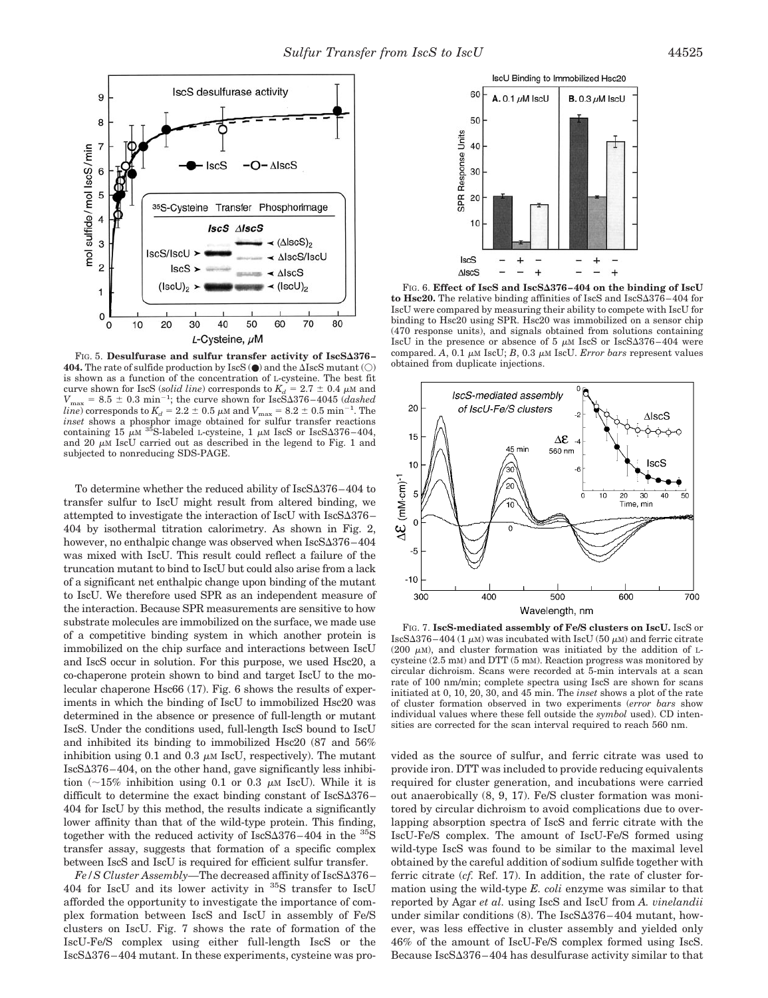

FIG. 5. Desulfurase and sulfur transfer activity of IscS $\Delta 376$ -**404.** The rate of sulfide production by  $\text{IscS}$  ( $\bullet$ ) and the  $\Delta \text{IscS}$  mutant ( $\bigcirc$ ) is shown as a function of the concentration of L-cysteine. The best fit curve shown for IscS (*solid line*) corresponds to  $K_d = 2.7 \pm 0.4 \mu M$  and  $V_{\text{max}} = 8.5 \pm 0.3 \text{ min}^{-1}$ ; the curve shown for IscS $\Delta 376 - 4045$  (*dashed line*) corresponds to  $K_d = 2.2 \pm 0.5 \mu$  and  $V_{\text{max}} = 8.2 \pm 0.5 \text{ min}^{-1}$ . The *inset* shows a phosphor image obtained for sulfur transfer reactions containing 15  $\mu$ <sup>35</sup>S-labeled L-cysteine, 1  $\mu$ M IscS or IscS $\Delta$ 376–404, and 20  $\mu$ M IscU carried out as described in the legend to Fig. 1 and subjected to nonreducing SDS-PAGE.

To determine whether the reduced ability of  $IscS\Delta376-404$  to transfer sulfur to IscU might result from altered binding, we attempted to investigate the interaction of IscU with  $IscS\Delta376-$ 404 by isothermal titration calorimetry. As shown in Fig. 2, however, no enthalpic change was observed when  $IscS\Delta376-404$ was mixed with IscU. This result could reflect a failure of the truncation mutant to bind to IscU but could also arise from a lack of a significant net enthalpic change upon binding of the mutant to IscU. We therefore used SPR as an independent measure of the interaction. Because SPR measurements are sensitive to how substrate molecules are immobilized on the surface, we made use of a competitive binding system in which another protein is immobilized on the chip surface and interactions between IscU and IscS occur in solution. For this purpose, we used Hsc20, a co-chaperone protein shown to bind and target IscU to the molecular chaperone Hsc66 (17). Fig. 6 shows the results of experiments in which the binding of IscU to immobilized Hsc20 was determined in the absence or presence of full-length or mutant IscS. Under the conditions used, full-length IscS bound to IscU and inhibited its binding to immobilized Hsc20 (87 and 56% inhibition using 0.1 and 0.3  $\mu$ M IscU, respectively). The mutant  $IscS\Delta376-404$ , on the other hand, gave significantly less inhibition  $\sim 15\%$  inhibition using 0.1 or 0.3  $\mu$ M IscU). While it is difficult to determine the exact binding constant of  $IscS\Delta376-$ 404 for IscU by this method, the results indicate a significantly lower affinity than that of the wild-type protein. This finding, together with the reduced activity of  $IscS\Delta376-404$  in the  ${}^{35}S$ transfer assay, suggests that formation of a specific complex between IscS and IscU is required for efficient sulfur transfer.

*Fe/S Cluster Assembly*—The decreased affinity of IscSΔ376– 404 for IscU and its lower activity in  $35S$  transfer to IscU afforded the opportunity to investigate the importance of complex formation between IscS and IscU in assembly of Fe/S clusters on IscU. Fig. 7 shows the rate of formation of the IscU-Fe/S complex using either full-length IscS or the IscS376–404 mutant. In these experiments, cysteine was pro-



FIG. 6. Effect of IscS and IscS $\Delta 376 - 404$  on the binding of IscU to Hsc20. The relative binding affinities of IscS and Isc $S\Delta 376 - 404$  for IscU were compared by measuring their ability to compete with IscU for binding to Hsc20 using SPR. Hsc20 was immobilized on a sensor chip (470 response units), and signals obtained from solutions containing IscU in the presence or absence of 5  $\mu$ M IscS or IscS $\Delta 376-404$  were compared.  $\overline{A}$ , 0.1  $\mu$ M IscU; *B*, 0.3  $\mu$ M IscU. *Error bars* represent values obtained from duplicate injections.



FIG. 7. **IscS-mediated assembly of Fe/S clusters on IscU.** IscS or IscS $\Delta$ 376–404 (1  $\mu$ M) was incubated with IscU (50  $\mu$ M) and ferric citrate (200  $\mu$ M), and cluster formation was initiated by the addition of Lcysteine (2.5 mM) and DTT (5 mM). Reaction progress was monitored by circular dichroism. Scans were recorded at 5-min intervals at a scan rate of 100 nm/min; complete spectra using IscS are shown for scans initiated at 0, 10, 20, 30, and 45 min. The *inset* shows a plot of the rate of cluster formation observed in two experiments (*error bars* show individual values where these fell outside the *symbol* used). CD intensities are corrected for the scan interval required to reach 560 nm.

vided as the source of sulfur, and ferric citrate was used to provide iron. DTT was included to provide reducing equivalents required for cluster generation, and incubations were carried out anaerobically (8, 9, 17). Fe/S cluster formation was monitored by circular dichroism to avoid complications due to overlapping absorption spectra of IscS and ferric citrate with the IscU-Fe/S complex. The amount of IscU-Fe/S formed using wild-type IscS was found to be similar to the maximal level obtained by the careful addition of sodium sulfide together with ferric citrate (*cf.* Ref. 17). In addition, the rate of cluster formation using the wild-type *E. coli* enzyme was similar to that reported by Agar *et al.* using IscS and IscU from *A. vinelandii* under similar conditions  $(8)$ . The IscS $\Delta 376 - 404$  mutant, however, was less effective in cluster assembly and yielded only 46% of the amount of IscU-Fe/S complex formed using IscS. Because  $IscS\Delta376-404$  has desulfurase activity similar to that